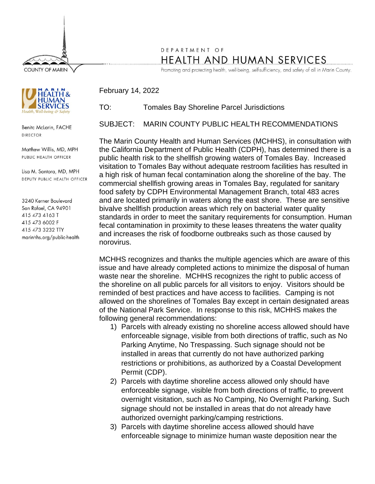**COUNTY OF MARIN** 

## DEPARTMENT OF HEALTH AND HUMAN SERVICES

Promoting and protecting health, well-being, self-sufficiency, and safety of all in Marin County.



Benita McLarin, FACHE **DIRECTOR** 

Matthew Willis, MD, MPH PUBLIC HEALTH OFFICER

Lisa M. Santora, MD, MPH DEPUTY PUBLIC HEALTH OFFICER

3240 Kerner Boulevard San Rafael, CA 94901 415 473 4163 T 415 473 6002 F 415 473 3232 TTY marinhhs.org/public-health TO: Tomales Bay Shoreline Parcel Jurisdictions

February 14, 2022

SUBJECT: MARIN COUNTY PUBLIC HEALTH RECOMMENDATIONS

The Marin County Health and Human Services (MCHHS), in consultation with the California Department of Public Health (CDPH), has determined there is a public health risk to the shellfish growing waters of Tomales Bay. Increased visitation to Tomales Bay without adequate restroom facilities has resulted in a high risk of human fecal contamination along the shoreline of the bay. The commercial shellfish growing areas in Tomales Bay, regulated for sanitary food safety by CDPH Environmental Management Branch, total 483 acres and are located primarily in waters along the east shore. These are sensitive bivalve shellfish production areas which rely on bacterial water quality standards in order to meet the sanitary requirements for consumption. Human fecal contamination in proximity to these leases threatens the water quality and increases the risk of foodborne outbreaks such as those caused by norovirus.

MCHHS recognizes and thanks the multiple agencies which are aware of this issue and have already completed actions to minimize the disposal of human waste near the shoreline. MCHHS recognizes the right to public access of the shoreline on all public parcels for all visitors to enjoy. Visitors should be reminded of best practices and have access to facilities. Camping is not allowed on the shorelines of Tomales Bay except in certain designated areas of the National Park Service. In response to this risk, MCHHS makes the following general recommendations:

- 1) Parcels with already existing no shoreline access allowed should have enforceable signage, visible from both directions of traffic, such as No Parking Anytime, No Trespassing. Such signage should not be installed in areas that currently do not have authorized parking restrictions or prohibitions, as authorized by a Coastal Development Permit (CDP).
- 2) Parcels with daytime shoreline access allowed only should have enforceable signage, visible from both directions of traffic, to prevent overnight visitation, such as No Camping, No Overnight Parking. Such signage should not be installed in areas that do not already have authorized overnight parking/camping restrictions.
- 3) Parcels with daytime shoreline access allowed should have enforceable signage to minimize human waste deposition near the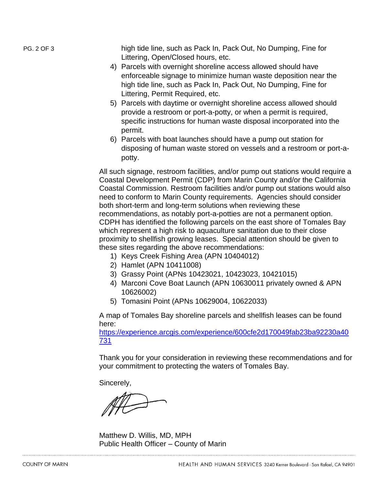PG. 2 OF 3 high tide line, such as Pack In, Pack Out, No Dumping, Fine for Littering, Open/Closed hours, etc.

- 4) Parcels with overnight shoreline access allowed should have enforceable signage to minimize human waste deposition near the high tide line, such as Pack In, Pack Out, No Dumping, Fine for Littering, Permit Required, etc.
- 5) Parcels with daytime or overnight shoreline access allowed should provide a restroom or port-a-potty, or when a permit is required, specific instructions for human waste disposal incorporated into the permit.
- 6) Parcels with boat launches should have a pump out station for disposing of human waste stored on vessels and a restroom or port-apotty.

All such signage, restroom facilities, and/or pump out stations would require a Coastal Development Permit (CDP) from Marin County and/or the California Coastal Commission. Restroom facilities and/or pump out stations would also need to conform to Marin County requirements. Agencies should consider both short-term and long-term solutions when reviewing these recommendations, as notably port-a-potties are not a permanent option. CDPH has identified the following parcels on the east shore of Tomales Bay which represent a high risk to aquaculture sanitation due to their close proximity to shellfish growing leases. Special attention should be given to these sites regarding the above recommendations:

- 1) Keys Creek Fishing Area (APN 10404012)
- 2) Hamlet (APN 10411008)
- 3) Grassy Point (APNs 10423021, 10423023, 10421015)
- 4) Marconi Cove Boat Launch (APN 10630011 privately owned & APN 10626002)
- 5) Tomasini Point (APNs 10629004, 10622033)

A map of Tomales Bay shoreline parcels and shellfish leases can be found here:

[https://experience.arcgis.com/experience/600cfe2d170049fab23ba92230a40](https://experience.arcgis.com/experience/600cfe2d170049fab23ba92230a40731) [731](https://experience.arcgis.com/experience/600cfe2d170049fab23ba92230a40731)

Thank you for your consideration in reviewing these recommendations and for your commitment to protecting the waters of Tomales Bay.

Sincerely,

Matthew D. Willis, MD, MPH Public Health Officer – County of Marin